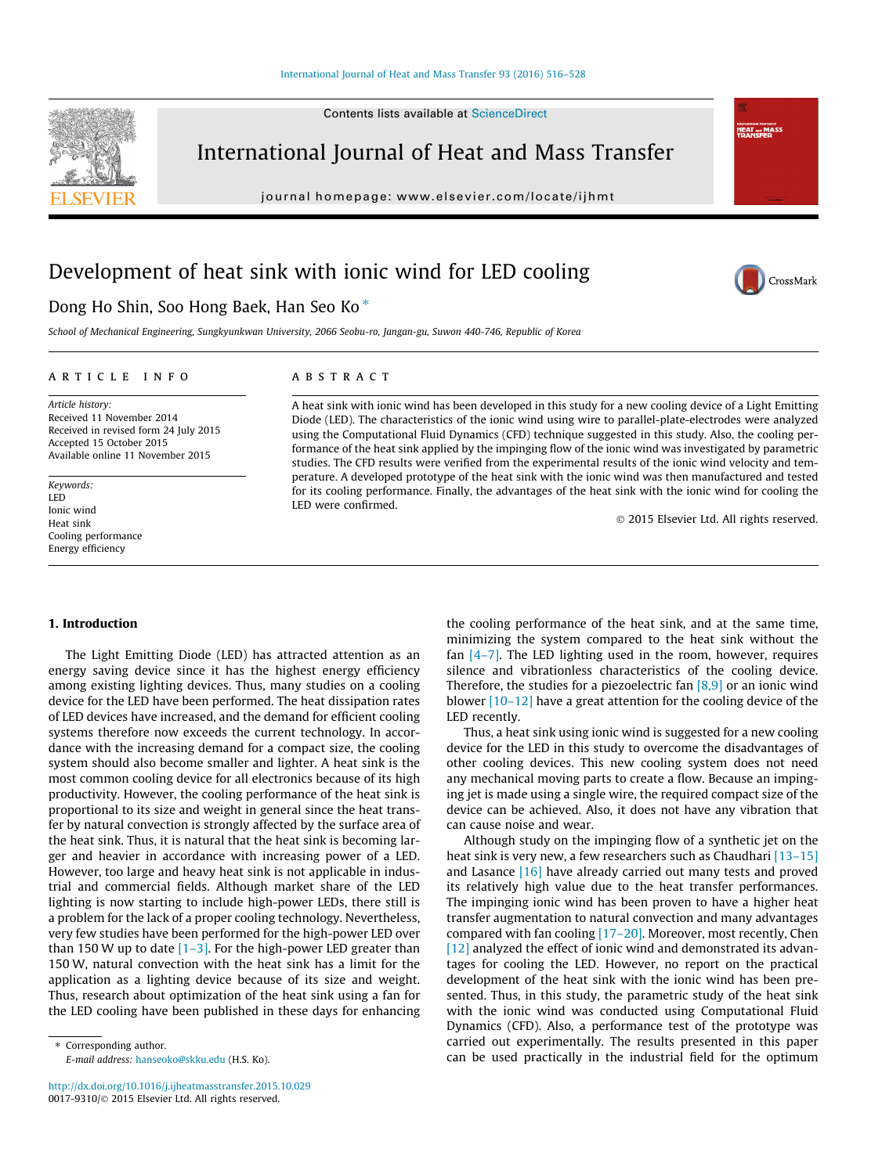#### [International Journal of Heat and Mass Transfer 93 \(2016\) 516–528](http://dx.doi.org/10.1016/j.ijheatmasstransfer.2015.10.029)



International Journal of Heat and Mass Transfer

journal homepage: [www.elsevier.com/locate/ijhmt](http://www.elsevier.com/locate/ijhmt)

### Development of heat sink with ionic wind for LED cooling

# CrossMark

**Informational Journal**<br>HEAT and M<br>TDANCEEE

#### Dong Ho Shin, Soo Hong Baek, Han Seo Ko<sup>\*</sup>

School of Mechanical Engineering, Sungkyunkwan University, 2066 Seobu-ro, Jangan-gu, Suwon 440-746, Republic of Korea

#### article info

#### Article history: Received 11 November 2014 Received in revised form 24 July 2015 Accepted 15 October 2015 Available online 11 November 2015

Keywords: LED Ionic wind Heat sink Cooling performance Energy efficiency

#### 1. Introduction

The Light Emitting Diode (LED) has attracted attention as an energy saving device since it has the highest energy efficiency among existing lighting devices. Thus, many studies on a cooling device for the LED have been performed. The heat dissipation rates of LED devices have increased, and the demand for efficient cooling systems therefore now exceeds the current technology. In accordance with the increasing demand for a compact size, the cooling system should also become smaller and lighter. A heat sink is the most common cooling device for all electronics because of its high productivity. However, the cooling performance of the heat sink is proportional to its size and weight in general since the heat transfer by natural convection is strongly affected by the surface area of the heat sink. Thus, it is natural that the heat sink is becoming larger and heavier in accordance with increasing power of a LED. However, too large and heavy heat sink is not applicable in industrial and commercial fields. Although market share of the LED lighting is now starting to include high-power LEDs, there still is a problem for the lack of a proper cooling technology. Nevertheless, very few studies have been performed for the high-power LED over than 150 W up to date  $[1-3]$ . For the high-power LED greater than 150 W, natural convection with the heat sink has a limit for the application as a lighting device because of its size and weight. Thus, research about optimization of the heat sink using a fan for the LED cooling have been published in these days for enhancing

E-mail address: [hanseoko@skku.edu](mailto:hanseoko@skku.edu) (H.S. Ko).

#### **ABSTRACT**

A heat sink with ionic wind has been developed in this study for a new cooling device of a Light Emitting Diode (LED). The characteristics of the ionic wind using wire to parallel-plate-electrodes were analyzed using the Computational Fluid Dynamics (CFD) technique suggested in this study. Also, the cooling performance of the heat sink applied by the impinging flow of the ionic wind was investigated by parametric studies. The CFD results were verified from the experimental results of the ionic wind velocity and temperature. A developed prototype of the heat sink with the ionic wind was then manufactured and tested for its cooling performance. Finally, the advantages of the heat sink with the ionic wind for cooling the LED were confirmed.

2015 Elsevier Ltd. All rights reserved.

the cooling performance of the heat sink, and at the same time, minimizing the system compared to the heat sink without the fan  $[4-7]$ . The LED lighting used in the room, however, requires silence and vibrationless characteristics of the cooling device. Therefore, the studies for a piezoelectric fan  $[8,9]$  or an ionic wind blower [10–12] have a great attention for the cooling device of the LED recently.

Thus, a heat sink using ionic wind is suggested for a new cooling device for the LED in this study to overcome the disadvantages of other cooling devices. This new cooling system does not need any mechanical moving parts to create a flow. Because an impinging jet is made using a single wire, the required compact size of the device can be achieved. Also, it does not have any vibration that can cause noise and wear.

Although study on the impinging flow of a synthetic jet on the heat sink is very new, a few researchers such as Chaudhari [13-15] and Lasance [16] have already carried out many tests and proved its relatively high value due to the heat transfer performances. The impinging ionic wind has been proven to have a higher heat transfer augmentation to natural convection and many advantages compared with fan cooling  $[17–20]$ . Moreover, most recently, Chen [12] analyzed the effect of ionic wind and demonstrated its advantages for cooling the LED. However, no report on the practical development of the heat sink with the ionic wind has been presented. Thus, in this study, the parametric study of the heat sink with the ionic wind was conducted using Computational Fluid Dynamics (CFD). Also, a performance test of the prototype was carried out experimentally. The results presented in this paper can be used practically in the industrial field for the optimum

<sup>⇑</sup> Corresponding author.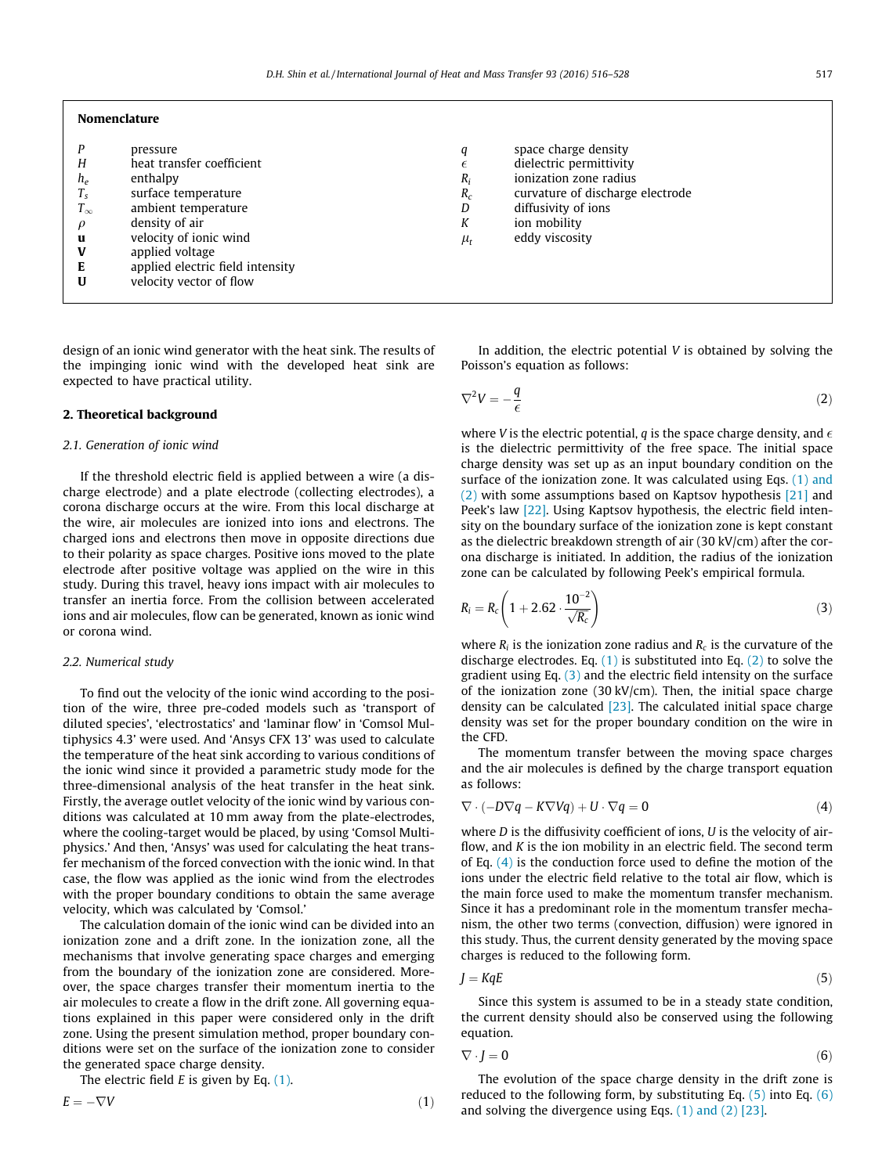#### Nomenclature

| Н<br>$h_e$<br>$T_s$<br>$T_\infty$<br>$\rho$<br>u<br>V<br>Е<br>U | pressure<br>heat transfer coefficient<br>enthalpy<br>surface temperature<br>ambient temperature<br>density of air<br>velocity of ionic wind<br>applied voltage<br>applied electric field intensity<br>velocity vector of flow | q<br>$\epsilon$<br>$R_i$<br>$R_c$<br>D<br>К<br>$\mu_{t}$ | space charge density<br>dielectric permittivity<br>ionization zone radius<br>curvature of discharge electrode<br>diffusivity of ions<br>ion mobility<br>eddy viscosity |
|-----------------------------------------------------------------|-------------------------------------------------------------------------------------------------------------------------------------------------------------------------------------------------------------------------------|----------------------------------------------------------|------------------------------------------------------------------------------------------------------------------------------------------------------------------------|
|-----------------------------------------------------------------|-------------------------------------------------------------------------------------------------------------------------------------------------------------------------------------------------------------------------------|----------------------------------------------------------|------------------------------------------------------------------------------------------------------------------------------------------------------------------------|

design of an ionic wind generator with the heat sink. The results of the impinging ionic wind with the developed heat sink are expected to have practical utility.

#### 2. Theoretical background

#### 2.1. Generation of ionic wind

If the threshold electric field is applied between a wire (a discharge electrode) and a plate electrode (collecting electrodes), a corona discharge occurs at the wire. From this local discharge at the wire, air molecules are ionized into ions and electrons. The charged ions and electrons then move in opposite directions due to their polarity as space charges. Positive ions moved to the plate electrode after positive voltage was applied on the wire in this study. During this travel, heavy ions impact with air molecules to transfer an inertia force. From the collision between accelerated ions and air molecules, flow can be generated, known as ionic wind or corona wind.

#### 2.2. Numerical study

To find out the velocity of the ionic wind according to the position of the wire, three pre-coded models such as 'transport of diluted species', 'electrostatics' and 'laminar flow' in 'Comsol Multiphysics 4.3' were used. And 'Ansys CFX 13' was used to calculate the temperature of the heat sink according to various conditions of the ionic wind since it provided a parametric study mode for the three-dimensional analysis of the heat transfer in the heat sink. Firstly, the average outlet velocity of the ionic wind by various conditions was calculated at 10 mm away from the plate-electrodes, where the cooling-target would be placed, by using 'Comsol Multiphysics.' And then, 'Ansys' was used for calculating the heat transfer mechanism of the forced convection with the ionic wind. In that case, the flow was applied as the ionic wind from the electrodes with the proper boundary conditions to obtain the same average velocity, which was calculated by 'Comsol.'

The calculation domain of the ionic wind can be divided into an ionization zone and a drift zone. In the ionization zone, all the mechanisms that involve generating space charges and emerging from the boundary of the ionization zone are considered. Moreover, the space charges transfer their momentum inertia to the air molecules to create a flow in the drift zone. All governing equations explained in this paper were considered only in the drift zone. Using the present simulation method, proper boundary conditions were set on the surface of the ionization zone to consider the generated space charge density.

The electric field  $E$  is given by Eq.  $(1)$ .

$$
E = -\nabla V \tag{1}
$$

In addition, the electric potential  $V$  is obtained by solving the Poisson's equation as follows:

$$
\nabla^2 V = -\frac{q}{\epsilon} \tag{2}
$$

where V is the electric potential, q is the space charge density, and  $\epsilon$ is the dielectric permittivity of the free space. The initial space charge density was set up as an input boundary condition on the surface of the ionization zone. It was calculated using Eqs. (1) and (2) with some assumptions based on Kaptsov hypothesis [21] and Peek's law [22]. Using Kaptsov hypothesis, the electric field intensity on the boundary surface of the ionization zone is kept constant as the dielectric breakdown strength of air (30 kV/cm) after the corona discharge is initiated. In addition, the radius of the ionization zone can be calculated by following Peek's empirical formula.

$$
R_i = R_c \left( 1 + 2.62 \cdot \frac{10^{-2}}{\sqrt{R_c}} \right) \tag{3}
$$

where  $R_i$  is the ionization zone radius and  $R_c$  is the curvature of the discharge electrodes. Eq.  $(1)$  is substituted into Eq.  $(2)$  to solve the gradient using Eq.  $(3)$  and the electric field intensity on the surface of the ionization zone (30 kV/cm). Then, the initial space charge density can be calculated  $[23]$ . The calculated initial space charge density was set for the proper boundary condition on the wire in the CFD.

The momentum transfer between the moving space charges and the air molecules is defined by the charge transport equation as follows:

$$
\nabla \cdot (-D\nabla q - K\nabla Vq) + U \cdot \nabla q = 0 \tag{4}
$$

where *D* is the diffusivity coefficient of ions, *U* is the velocity of airflow, and K is the ion mobility in an electric field. The second term of Eq.  $(4)$  is the conduction force used to define the motion of the ions under the electric field relative to the total air flow, which is the main force used to make the momentum transfer mechanism. Since it has a predominant role in the momentum transfer mechanism, the other two terms (convection, diffusion) were ignored in this study. Thus, the current density generated by the moving space charges is reduced to the following form.

$$
J = KqE \tag{5}
$$

Since this system is assumed to be in a steady state condition, the current density should also be conserved using the following equation.

$$
\nabla \cdot \mathbf{J} = \mathbf{0} \tag{6}
$$

The evolution of the space charge density in the drift zone is reduced to the following form, by substituting Eq.  $(5)$  into Eq.  $(6)$ and solving the divergence using Eqs. (1) and (2) [23].